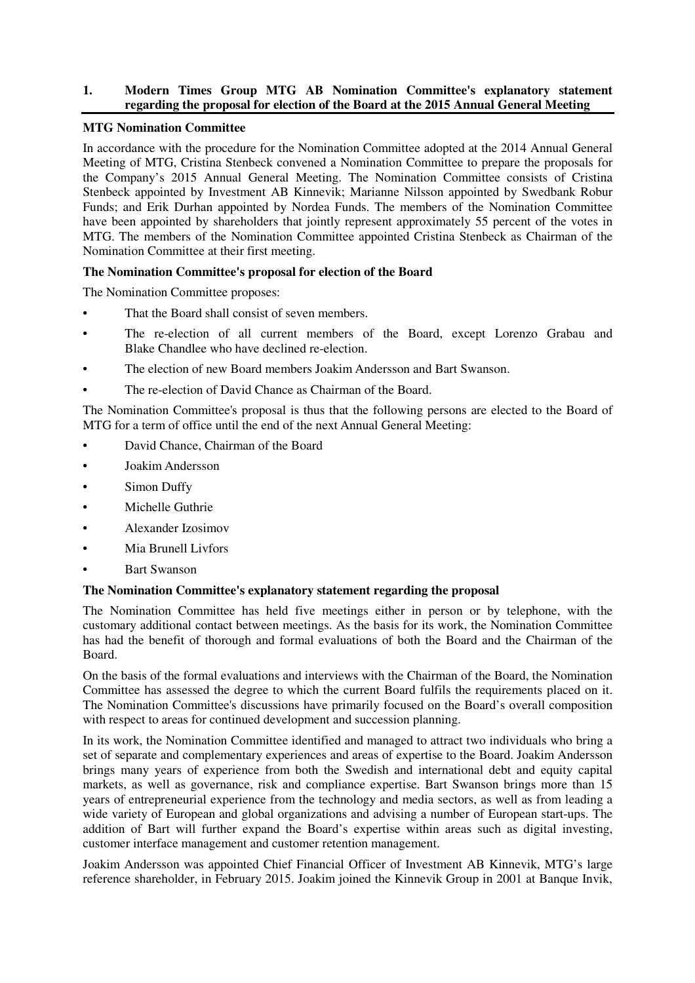## **1. Modern Times Group MTG AB Nomination Committee's explanatory statement regarding the proposal for election of the Board at the 2015 Annual General Meeting**

### **MTG Nomination Committee**

In accordance with the procedure for the Nomination Committee adopted at the 2014 Annual General Meeting of MTG, Cristina Stenbeck convened a Nomination Committee to prepare the proposals for the Company's 2015 Annual General Meeting. The Nomination Committee consists of Cristina Stenbeck appointed by Investment AB Kinnevik; Marianne Nilsson appointed by Swedbank Robur Funds; and Erik Durhan appointed by Nordea Funds. The members of the Nomination Committee have been appointed by shareholders that jointly represent approximately 55 percent of the votes in MTG. The members of the Nomination Committee appointed Cristina Stenbeck as Chairman of the Nomination Committee at their first meeting.

## **The Nomination Committee's proposal for election of the Board**

The Nomination Committee proposes:

- That the Board shall consist of seven members.
- The re-election of all current members of the Board, except Lorenzo Grabau and Blake Chandlee who have declined re-election.
- The election of new Board members Joakim Andersson and Bart Swanson.
- The re-election of David Chance as Chairman of the Board.

The Nomination Committee's proposal is thus that the following persons are elected to the Board of MTG for a term of office until the end of the next Annual General Meeting:

- David Chance, Chairman of the Board
- Joakim Andersson
- Simon Duffy
- Michelle Guthrie
- Alexander Izosimov
- Mia Brunell Livfors
- **Bart Swanson**

#### **The Nomination Committee's explanatory statement regarding the proposal**

The Nomination Committee has held five meetings either in person or by telephone, with the customary additional contact between meetings. As the basis for its work, the Nomination Committee has had the benefit of thorough and formal evaluations of both the Board and the Chairman of the Board.

On the basis of the formal evaluations and interviews with the Chairman of the Board, the Nomination Committee has assessed the degree to which the current Board fulfils the requirements placed on it. The Nomination Committee's discussions have primarily focused on the Board's overall composition with respect to areas for continued development and succession planning.

In its work, the Nomination Committee identified and managed to attract two individuals who bring a set of separate and complementary experiences and areas of expertise to the Board. Joakim Andersson brings many years of experience from both the Swedish and international debt and equity capital markets, as well as governance, risk and compliance expertise. Bart Swanson brings more than 15 years of entrepreneurial experience from the technology and media sectors, as well as from leading a wide variety of European and global organizations and advising a number of European start-ups. The addition of Bart will further expand the Board's expertise within areas such as digital investing, customer interface management and customer retention management.

Joakim Andersson was appointed Chief Financial Officer of Investment AB Kinnevik, MTG's large reference shareholder, in February 2015. Joakim joined the Kinnevik Group in 2001 at Banque Invik,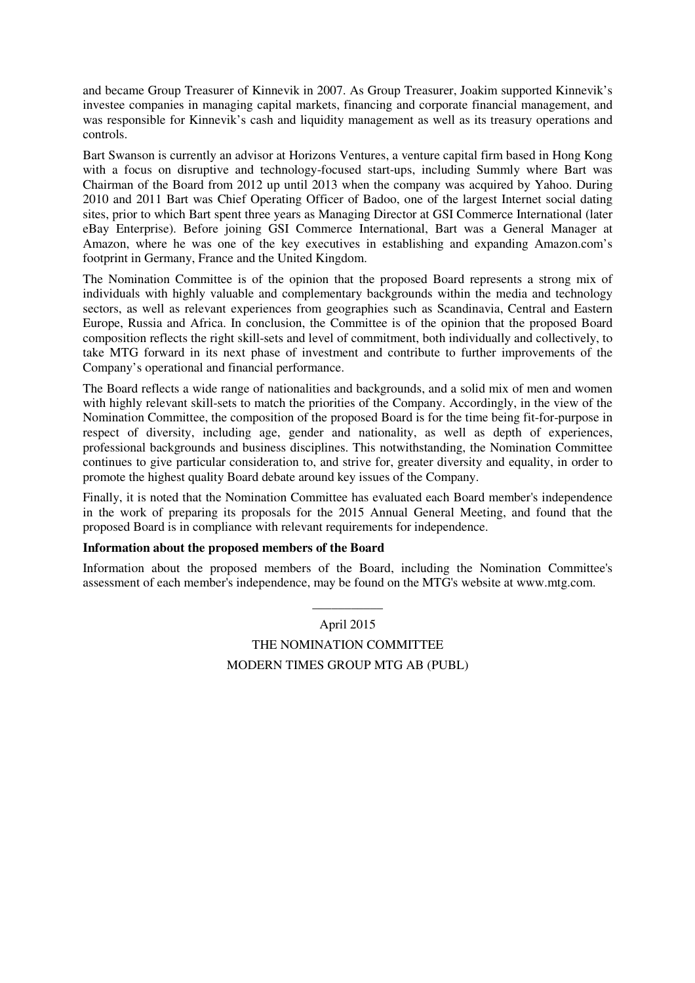and became Group Treasurer of Kinnevik in 2007. As Group Treasurer, Joakim supported Kinnevik's investee companies in managing capital markets, financing and corporate financial management, and was responsible for Kinnevik's cash and liquidity management as well as its treasury operations and controls.

Bart Swanson is currently an advisor at Horizons Ventures, a venture capital firm based in Hong Kong with a focus on disruptive and technology-focused start-ups, including Summly where Bart was Chairman of the Board from 2012 up until 2013 when the company was acquired by Yahoo. During 2010 and 2011 Bart was Chief Operating Officer of Badoo, one of the largest Internet social dating sites, prior to which Bart spent three years as Managing Director at GSI Commerce International (later eBay Enterprise). Before joining GSI Commerce International, Bart was a General Manager at Amazon, where he was one of the key executives in establishing and expanding Amazon.com's footprint in Germany, France and the United Kingdom.

The Nomination Committee is of the opinion that the proposed Board represents a strong mix of individuals with highly valuable and complementary backgrounds within the media and technology sectors, as well as relevant experiences from geographies such as Scandinavia, Central and Eastern Europe, Russia and Africa. In conclusion, the Committee is of the opinion that the proposed Board composition reflects the right skill-sets and level of commitment, both individually and collectively, to take MTG forward in its next phase of investment and contribute to further improvements of the Company's operational and financial performance.

The Board reflects a wide range of nationalities and backgrounds, and a solid mix of men and women with highly relevant skill-sets to match the priorities of the Company. Accordingly, in the view of the Nomination Committee, the composition of the proposed Board is for the time being fit-for-purpose in respect of diversity, including age, gender and nationality, as well as depth of experiences, professional backgrounds and business disciplines. This notwithstanding, the Nomination Committee continues to give particular consideration to, and strive for, greater diversity and equality, in order to promote the highest quality Board debate around key issues of the Company.

Finally, it is noted that the Nomination Committee has evaluated each Board member's independence in the work of preparing its proposals for the 2015 Annual General Meeting, and found that the proposed Board is in compliance with relevant requirements for independence.

#### **Information about the proposed members of the Board**

Information about the proposed members of the Board, including the Nomination Committee's assessment of each member's independence, may be found on the MTG's website at www.mtg.com.

\_\_\_\_\_\_\_\_\_\_\_

April 2015 THE NOMINATION COMMITTEE MODERN TIMES GROUP MTG AB (PUBL)